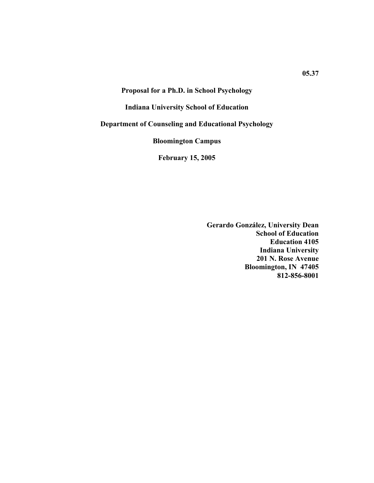## **Proposal for a Ph.D. in School Psychology**

## **Indiana University School of Education**

## **Department of Counseling and Educational Psychology**

**Bloomington Campus** 

**February 15, 2005** 

**Gerardo González, University Dean School of Education Education 4105 Indiana University 201 N. Rose Avenue Bloomington, IN 47405 812-856-8001**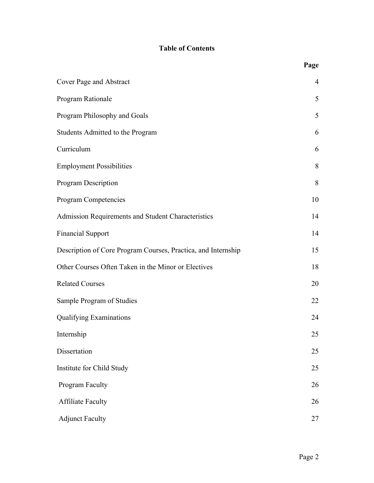# **Table of Contents**

|                                                               | Page           |
|---------------------------------------------------------------|----------------|
| Cover Page and Abstract                                       | $\overline{4}$ |
| Program Rationale                                             | 5              |
| Program Philosophy and Goals                                  | 5              |
| Students Admitted to the Program                              | 6              |
| Curriculum                                                    | 6              |
| <b>Employment Possibilities</b>                               | 8              |
| <b>Program Description</b>                                    | 8              |
| Program Competencies                                          | 10             |
| Admission Requirements and Student Characteristics            | 14             |
| <b>Financial Support</b>                                      | 14             |
| Description of Core Program Courses, Practica, and Internship | 15             |
| Other Courses Often Taken in the Minor or Electives           | 18             |
| <b>Related Courses</b>                                        | 20             |
| Sample Program of Studies                                     | 22             |
| <b>Qualifying Examinations</b>                                | 24             |
| Internship                                                    | 25             |
| Dissertation                                                  | 25             |
| Institute for Child Study                                     | 25             |
| Program Faculty                                               | 26             |
| <b>Affiliate Faculty</b>                                      | 26             |
| <b>Adjunct Faculty</b>                                        | 27             |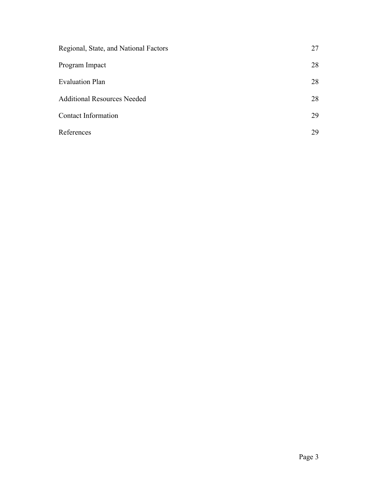| Regional, State, and National Factors | 27 |
|---------------------------------------|----|
| Program Impact                        | 28 |
| <b>Evaluation Plan</b>                | 28 |
| <b>Additional Resources Needed</b>    | 28 |
| Contact Information                   | 29 |
| References                            | 29 |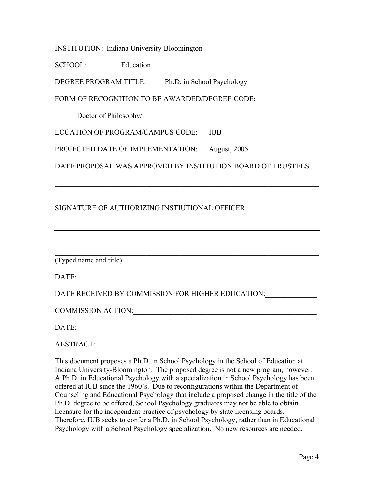INSTITUTION: Indiana University-Bloomington

SCHOOL: Education

DEGREE PROGRAM TITLE: Ph.D. in School Psychology

FORM OF RECOGNITION TO BE AWARDED/DEGREE CODE:

Doctor of Philosophy/

LOCATION OF PROGRAM/CAMPUS CODE: IUB

PROJECTED DATE OF IMPLEMENTATION: August, 2005

DATE PROPOSAL WAS APPROVED BY INSTITUTION BOARD OF TRUSTEES:

 $\mathcal{L}_\text{G}$  , and the contribution of the contribution of the contribution of the contribution of the contribution of the contribution of the contribution of the contribution of the contribution of the contribution of t

# SIGNATURE OF AUTHORIZING INSTIUTIONAL OFFICER:

| (Typed name and title) |  |  |  |
|------------------------|--|--|--|
|------------------------|--|--|--|

DATE:

DATE RECEIVED BY COMMISSION FOR HIGHER EDUCATION:

COMMISSION ACTION:\_\_\_\_\_\_\_\_\_\_\_\_\_\_\_\_\_\_\_\_\_\_\_\_\_\_\_\_\_\_\_\_\_\_\_\_\_\_\_\_\_\_\_\_\_\_\_\_\_\_

DATE:

ABSTRACT:

This document proposes a Ph.D. in School Psychology in the School of Education at Indiana University-Bloomington. The proposed degree is not a new program, however. A Ph.D. in Educational Psychology with a specialization in School Psychology has been offered at IUB since the 1960's. Due to reconfigurations within the Department of Counseling and Educational Psychology that include a proposed change in the title of the Ph.D. degree to be offered, School Psychology graduates may not be able to obtain licensure for the independent practice of psychology by state licensing boards. Therefore, IUB seeks to confer a Ph.D. in School Psychology, rather than in Educational Psychology with a School Psychology specialization. No new resources are needed.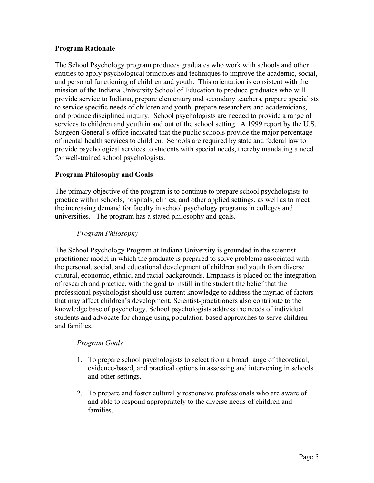## **Program Rationale**

The School Psychology program produces graduates who work with schools and other entities to apply psychological principles and techniques to improve the academic, social, and personal functioning of children and youth. This orientation is consistent with the mission of the Indiana University School of Education to produce graduates who will provide service to Indiana, prepare elementary and secondary teachers, prepare specialists to service specific needs of children and youth, prepare researchers and academicians, and produce disciplined inquiry. School psychologists are needed to provide a range of services to children and youth in and out of the school setting. A 1999 report by the U.S. Surgeon General's office indicated that the public schools provide the major percentage of mental health services to children. Schools are required by state and federal law to provide psychological services to students with special needs, thereby mandating a need for well-trained school psychologists.

## **Program Philosophy and Goals**

The primary objective of the program is to continue to prepare school psychologists to practice within schools, hospitals, clinics, and other applied settings, as well as to meet the increasing demand for faculty in school psychology programs in colleges and universities. The program has a stated philosophy and goals.

# *Program Philosophy*

The School Psychology Program at Indiana University is grounded in the scientistpractitioner model in which the graduate is prepared to solve problems associated with the personal, social, and educational development of children and youth from diverse cultural, economic, ethnic, and racial backgrounds. Emphasis is placed on the integration of research and practice, with the goal to instill in the student the belief that the professional psychologist should use current knowledge to address the myriad of factors that may affect children's development. Scientist-practitioners also contribute to the knowledge base of psychology. School psychologists address the needs of individual students and advocate for change using population-based approaches to serve children and families.

# *Program Goals*

- 1. To prepare school psychologists to select from a broad range of theoretical, evidence-based, and practical options in assessing and intervening in schools and other settings.
- 2. To prepare and foster culturally responsive professionals who are aware of and able to respond appropriately to the diverse needs of children and families.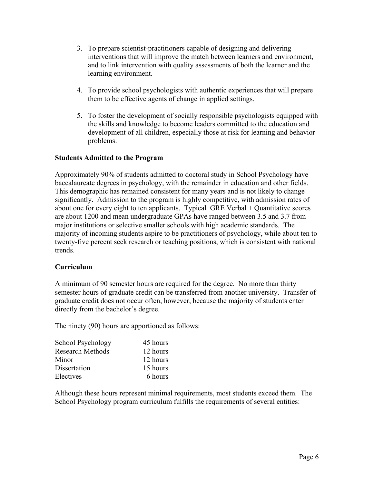- 3. To prepare scientist-practitioners capable of designing and delivering interventions that will improve the match between learners and environment, and to link intervention with quality assessments of both the learner and the learning environment.
- 4. To provide school psychologists with authentic experiences that will prepare them to be effective agents of change in applied settings.
- 5. To foster the development of socially responsible psychologists equipped with the skills and knowledge to become leaders committed to the education and development of all children, especially those at risk for learning and behavior problems.

# **Students Admitted to the Program**

 Approximately 90% of students admitted to doctoral study in School Psychology have baccalaureate degrees in psychology, with the remainder in education and other fields. This demographic has remained consistent for many years and is not likely to change significantly. Admission to the program is highly competitive, with admission rates of about one for every eight to ten applicants. Typical GRE Verbal + Quantitative scores are about 1200 and mean undergraduate GPAs have ranged between 3.5 and 3.7 from major institutions or selective smaller schools with high academic standards. The majority of incoming students aspire to be practitioners of psychology, while about ten to twenty-five percent seek research or teaching positions, which is consistent with national trends.

#### **Curriculum**

A minimum of 90 semester hours are required for the degree. No more than thirty semester hours of graduate credit can be transferred from another university. Transfer of graduate credit does not occur often, however, because the majority of students enter directly from the bachelor's degree.

The ninety (90) hours are apportioned as follows:

| School Psychology       | 45 hours |
|-------------------------|----------|
| <b>Research Methods</b> | 12 hours |
| Minor                   | 12 hours |
| Dissertation            | 15 hours |
| Electives               | 6 hours  |

Although these hours represent minimal requirements, most students exceed them. The School Psychology program curriculum fulfills the requirements of several entities: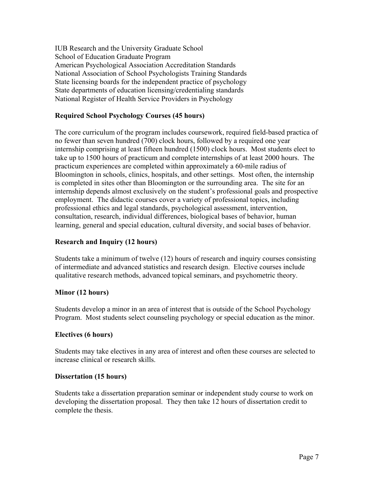IUB Research and the University Graduate School School of Education Graduate Program American Psychological Association Accreditation Standards National Association of School Psychologists Training Standards State licensing boards for the independent practice of psychology State departments of education licensing/credentialing standards National Register of Health Service Providers in Psychology

# **Required School Psychology Courses (45 hours)**

The core curriculum of the program includes coursework, required field-based practica of no fewer than seven hundred (700) clock hours, followed by a required one year internship comprising at least fifteen hundred (1500) clock hours. Most students elect to take up to 1500 hours of practicum and complete internships of at least 2000 hours. The practicum experiences are completed within approximately a 60-mile radius of Bloomington in schools, clinics, hospitals, and other settings. Most often, the internship is completed in sites other than Bloomington or the surrounding area. The site for an internship depends almost exclusively on the student's professional goals and prospective employment. The didactic courses cover a variety of professional topics, including professional ethics and legal standards, psychological assessment, intervention, consultation, research, individual differences, biological bases of behavior, human learning, general and special education, cultural diversity, and social bases of behavior.

# **Research and Inquiry (12 hours)**

Students take a minimum of twelve (12) hours of research and inquiry courses consisting of intermediate and advanced statistics and research design. Elective courses include qualitative research methods, advanced topical seminars, and psychometric theory.

# **Minor (12 hours)**

Students develop a minor in an area of interest that is outside of the School Psychology Program. Most students select counseling psychology or special education as the minor.

# **Electives (6 hours)**

Students may take electives in any area of interest and often these courses are selected to increase clinical or research skills.

#### **Dissertation (15 hours)**

Students take a dissertation preparation seminar or independent study course to work on developing the dissertation proposal. They then take 12 hours of dissertation credit to complete the thesis.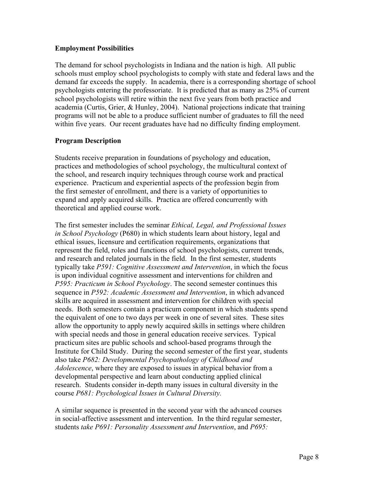## **Employment Possibilities**

The demand for school psychologists in Indiana and the nation is high. All public schools must employ school psychologists to comply with state and federal laws and the demand far exceeds the supply. In academia, there is a corresponding shortage of school psychologists entering the professoriate. It is predicted that as many as 25% of current school psychologists will retire within the next five years from both practice and academia (Curtis, Grier, & Hunley, 2004). National projections indicate that training programs will not be able to a produce sufficient number of graduates to fill the need within five years. Our recent graduates have had no difficulty finding employment.

# **Program Description**

Students receive preparation in foundations of psychology and education, practices and methodologies of school psychology, the multicultural context of the school, and research inquiry techniques through course work and practical experience. Practicum and experiential aspects of the profession begin from the first semester of enrollment, and there is a variety of opportunities to expand and apply acquired skills. Practica are offered concurrently with theoretical and applied course work.

The first semester includes the seminar *Ethical, Legal, and Professional Issues in School Psychology* (P680) in which students learn about history, legal and ethical issues, licensure and certification requirements, organizations that represent the field, roles and functions of school psychologists, current trends, and research and related journals in the field. In the first semester, students typically take *P591: Cognitive Assessment and Intervention*, in which the focus is upon individual cognitive assessment and interventions for children and *P595: Practicum in School Psychology*. The second semester continues this sequence in *P592: Academic Assessment and Intervention*, in which advanced skills are acquired in assessment and intervention for children with special needs. Both semesters contain a practicum component in which students spend the equivalent of one to two days per week in one of several sites. These sites allow the opportunity to apply newly acquired skills in settings where children with special needs and those in general education receive services. Typical practicum sites are public schools and school-based programs through the Institute for Child Study. During the second semester of the first year, students also take *P682: Developmental Psychopathology of Childhood and Adolescence*, where they are exposed to issues in atypical behavior from a developmental perspective and learn about conducting applied clinical research. Students consider in-depth many issues in cultural diversity in the course *P681: Psychological Issues in Cultural Diversity.*

A similar sequence is presented in the second year with the advanced courses in social-affective assessment and intervention. In the third regular semester, students *take P691: Personality Assessment and Intervention*, and *P695:*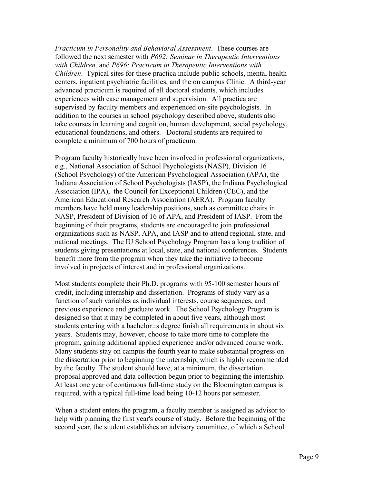*Practicum in Personality and Behavioral Assessment*. These courses are followed the next semester with *P692: Seminar in Therapeutic Interventions with Children,* and *P696: Practicum in Therapeutic Interventions with Children*. Typical sites for these practica include public schools, mental health centers, inpatient psychiatric facilities, and the on campus Clinic. A third-year advanced practicum is required of all doctoral students, which includes experiences with case management and supervision. All practica are supervised by faculty members and experienced on-site psychologists. In addition to the courses in school psychology described above, students also take courses in learning and cognition, human development, social psychology, educational foundations, and others. Doctoral students are required to complete a minimum of 700 hours of practicum.

Program faculty historically have been involved in professional organizations, e.g., National Association of School Psychologists (NASP), Division 16 (School Psychology) of the American Psychological Association (APA), the Indiana Association of School Psychologists (IASP), the Indiana Psychological Association (IPA), the Council for Exceptional Children (CEC), and the American Educational Research Association (AERA). Program faculty members have held many leadership positions, such as committee chairs in NASP, President of Division of 16 of APA, and President of IASP. From the beginning of their programs, students are encouraged to join professional organizations such as NASP, APA, and IASP and to attend regional, state, and national meetings. The IU School Psychology Program has a long tradition of students giving presentations at local, state, and national conferences. Students benefit more from the program when they take the initiative to become involved in projects of interest and in professional organizations.

Most students complete their Ph.D. programs with 95-100 semester hours of credit, including internship and dissertation. Programs of study vary as a function of such variables as individual interests, course sequences, and previous experience and graduate work. The School Psychology Program is designed so that it may be completed in about five years, although most students entering with a bachelor=s degree finish all requirements in about six years. Students may, however, choose to take more time to complete the program, gaining additional applied experience and/or advanced course work. Many students stay on campus the fourth year to make substantial progress on the dissertation prior to beginning the internship, which is highly recommended by the faculty. The student should have, at a minimum, the dissertation proposal approved and data collection begun prior to beginning the internship. At least one year of continuous full-time study on the Bloomington campus is required, with a typical full-time load being 10-12 hours per semester.

When a student enters the program, a faculty member is assigned as advisor to help with planning the first year's course of study. Before the beginning of the second year, the student establishes an advisory committee, of which a School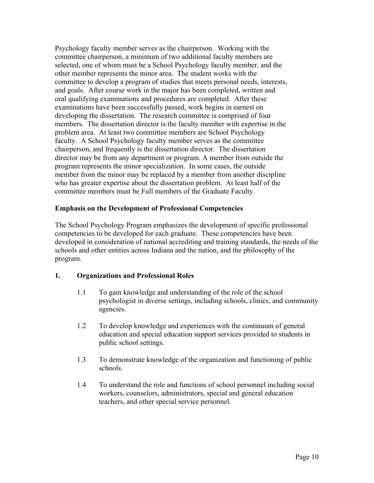Psychology faculty member serves as the chairperson. Working with the committee chairperson, a minimum of two additional faculty members are selected, one of whom must be a School Psychology faculty member, and the other member represents the minor area. The student works with the committee to develop a program of studies that meets personal needs, interests, and goals. After course work in the major has been completed, written and oral qualifying examinations and procedures are completed. After these examinations have been successfully passed, work begins in earnest on developing the dissertation. The research committee is comprised of four members. The dissertation director is the faculty member with expertise in the problem area. At least two committee members are School Psychology faculty. A School Psychology faculty member serves as the committee chairperson, and frequently is the dissertation director. The dissertation director may be from any department or program. A member from outside the program represents the minor specialization. In some cases, the outside member from the minor may be replaced by a member from another discipline who has greater expertise about the dissertation problem. At least half of the committee members must be Full members of the Graduate Faculty.

## **Emphasis on the Development of Professional Competencies**

The School Psychology Program emphasizes the development of specific professional competencies to be developed for each graduate. These competencies have been developed in consideration of national accrediting and training standards, the needs of the schools and other entities across Indiana and the nation, and the philosophy of the program.

# **1. Organizations and Professional Roles**

- 1.1 To gain knowledge and understanding of the role of the school psychologist in diverse settings, including schools, clinics, and community agencies.
- 1.2 To develop knowledge and experiences with the continuum of general education and special education support services provided to students in public school settings.
- 1.3 To demonstrate knowledge of the organization and functioning of public schools.
- 1.4 To understand the role and functions of school personnel including social workers, counselors, administrators, special and general education teachers, and other special service personnel.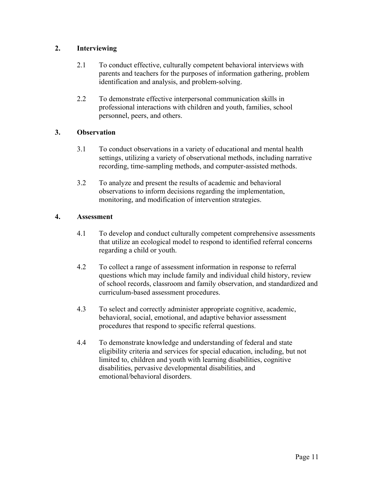# **2. Interviewing**

- 2.1 To conduct effective, culturally competent behavioral interviews with parents and teachers for the purposes of information gathering, problem identification and analysis, and problem-solving.
- 2.2 To demonstrate effective interpersonal communication skills in professional interactions with children and youth, families, school personnel, peers, and others.

# **3. Observation**

- 3.1 To conduct observations in a variety of educational and mental health settings, utilizing a variety of observational methods, including narrative recording, time-sampling methods, and computer-assisted methods.
- 3.2 To analyze and present the results of academic and behavioral observations to inform decisions regarding the implementation, monitoring, and modification of intervention strategies.

# **4. Assessment**

- 4.1 To develop and conduct culturally competent comprehensive assessments that utilize an ecological model to respond to identified referral concerns regarding a child or youth.
- 4.2 To collect a range of assessment information in response to referral questions which may include family and individual child history, review of school records, classroom and family observation, and standardized and curriculum-based assessment procedures.
- 4.3 To select and correctly administer appropriate cognitive, academic, behavioral, social, emotional, and adaptive behavior assessment procedures that respond to specific referral questions.
- 4.4 To demonstrate knowledge and understanding of federal and state eligibility criteria and services for special education, including, but not limited to, children and youth with learning disabilities, cognitive disabilities, pervasive developmental disabilities, and emotional/behavioral disorders.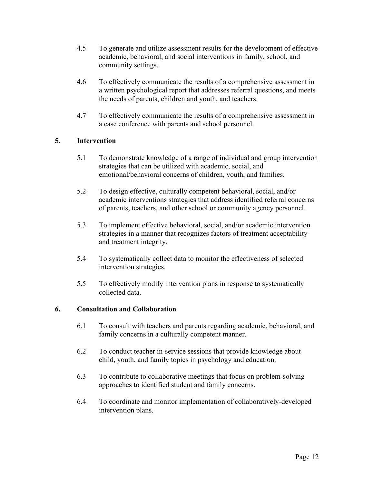- 4.5 To generate and utilize assessment results for the development of effective academic, behavioral, and social interventions in family, school, and community settings.
- 4.6 To effectively communicate the results of a comprehensive assessment in a written psychological report that addresses referral questions, and meets the needs of parents, children and youth, and teachers.
- 4.7 To effectively communicate the results of a comprehensive assessment in a case conference with parents and school personnel.

# **5. Intervention**

- 5.1 To demonstrate knowledge of a range of individual and group intervention strategies that can be utilized with academic, social, and emotional/behavioral concerns of children, youth, and families.
- 5.2 To design effective, culturally competent behavioral, social, and/or academic interventions strategies that address identified referral concerns of parents, teachers, and other school or community agency personnel.
- 5.3 To implement effective behavioral, social, and/or academic intervention strategies in a manner that recognizes factors of treatment acceptability and treatment integrity.
- 5.4 To systematically collect data to monitor the effectiveness of selected intervention strategies.
- 5.5 To effectively modify intervention plans in response to systematically collected data.

#### **6. Consultation and Collaboration**

- 6.1 To consult with teachers and parents regarding academic, behavioral, and family concerns in a culturally competent manner.
- 6.2 To conduct teacher in-service sessions that provide knowledge about child, youth, and family topics in psychology and education.
- 6.3 To contribute to collaborative meetings that focus on problem-solving approaches to identified student and family concerns.
- 6.4 To coordinate and monitor implementation of collaboratively-developed intervention plans.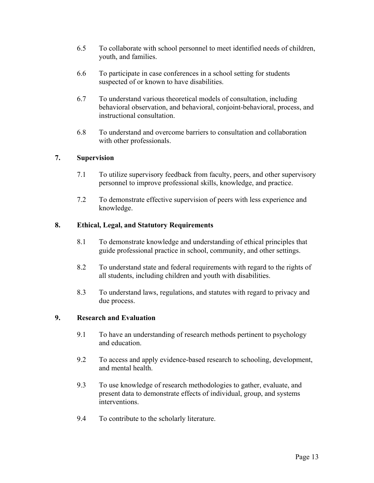- 6.5 To collaborate with school personnel to meet identified needs of children, youth, and families.
- 6.6 To participate in case conferences in a school setting for students suspected of or known to have disabilities.
- 6.7 To understand various theoretical models of consultation, including behavioral observation, and behavioral, conjoint-behavioral, process, and instructional consultation.
- 6.8 To understand and overcome barriers to consultation and collaboration with other professionals.

## **7. Supervision**

- 7.1 To utilize supervisory feedback from faculty, peers, and other supervisory personnel to improve professional skills, knowledge, and practice.
- 7.2 To demonstrate effective supervision of peers with less experience and knowledge.

# **8. Ethical, Legal, and Statutory Requirements**

- 8.1 To demonstrate knowledge and understanding of ethical principles that guide professional practice in school, community, and other settings.
- 8.2 To understand state and federal requirements with regard to the rights of all students, including children and youth with disabilities.
- 8.3 To understand laws, regulations, and statutes with regard to privacy and due process.

#### **9. Research and Evaluation**

- 9.1 To have an understanding of research methods pertinent to psychology and education.
- 9.2 To access and apply evidence-based research to schooling, development, and mental health.
- 9.3 To use knowledge of research methodologies to gather, evaluate, and present data to demonstrate effects of individual, group, and systems interventions.
- 9.4 To contribute to the scholarly literature.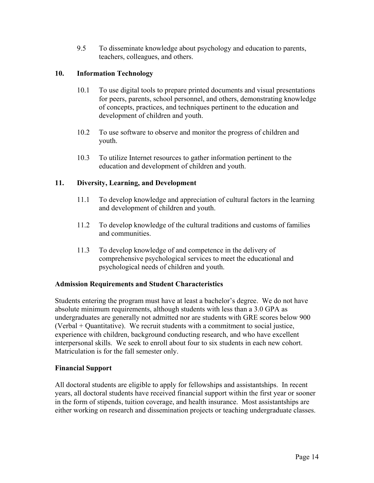9.5 To disseminate knowledge about psychology and education to parents, teachers, colleagues, and others.

# **10. Information Technology**

- 10.1 To use digital tools to prepare printed documents and visual presentations for peers, parents, school personnel, and others, demonstrating knowledge of concepts, practices, and techniques pertinent to the education and development of children and youth.
- 10.2 To use software to observe and monitor the progress of children and youth.
- 10.3 To utilize Internet resources to gather information pertinent to the education and development of children and youth.

# **11. Diversity, Learning, and Development**

- 11.1 To develop knowledge and appreciation of cultural factors in the learning and development of children and youth.
- 11.2 To develop knowledge of the cultural traditions and customs of families and communities.
- 11.3 To develop knowledge of and competence in the delivery of comprehensive psychological services to meet the educational and psychological needs of children and youth.

# **Admission Requirements and Student Characteristics**

Students entering the program must have at least a bachelor's degree. We do not have absolute minimum requirements, although students with less than a 3.0 GPA as undergraduates are generally not admitted nor are students with GRE scores below 900 (Verbal + Quantitative). We recruit students with a commitment to social justice, experience with children, background conducting research, and who have excellent interpersonal skills. We seek to enroll about four to six students in each new cohort. Matriculation is for the fall semester only.

# **Financial Support**

All doctoral students are eligible to apply for fellowships and assistantships. In recent years, all doctoral students have received financial support within the first year or sooner in the form of stipends, tuition coverage, and health insurance. Most assistantships are either working on research and dissemination projects or teaching undergraduate classes.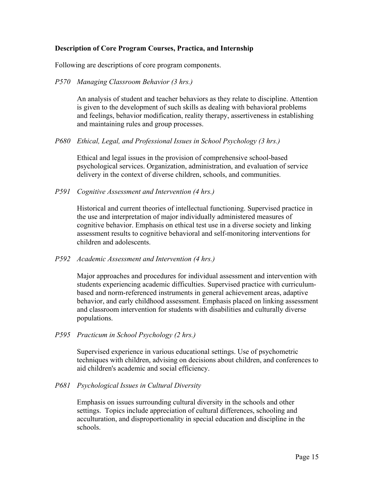## **Description of Core Program Courses, Practica, and Internship**

Following are descriptions of core program components.

#### *P570 Managing Classroom Behavior (3 hrs.)*

An analysis of student and teacher behaviors as they relate to discipline. Attention is given to the development of such skills as dealing with behavioral problems and feelings, behavior modification, reality therapy, assertiveness in establishing and maintaining rules and group processes.

*P680 Ethical, Legal, and Professional Issues in School Psychology (3 hrs.)* 

Ethical and legal issues in the provision of comprehensive school-based psychological services. Organization, administration, and evaluation of service delivery in the context of diverse children, schools, and communities.

*P591 Cognitive Assessment and Intervention (4 hrs.)* 

Historical and current theories of intellectual functioning. Supervised practice in the use and interpretation of major individually administered measures of cognitive behavior. Emphasis on ethical test use in a diverse society and linking assessment results to cognitive behavioral and self-monitoring interventions for children and adolescents.

*P592 Academic Assessment and Intervention (4 hrs.)* 

Major approaches and procedures for individual assessment and intervention with students experiencing academic difficulties. Supervised practice with curriculumbased and norm-referenced instruments in general achievement areas, adaptive behavior, and early childhood assessment. Emphasis placed on linking assessment and classroom intervention for students with disabilities and culturally diverse populations.

*P595 Practicum in School Psychology (2 hrs.)* 

Supervised experience in various educational settings. Use of psychometric techniques with children, advising on decisions about children, and conferences to aid children's academic and social efficiency.

*P681 Psychological Issues in Cultural Diversity* 

 Emphasis on issues surrounding cultural diversity in the schools and other settings. Topics include appreciation of cultural differences, schooling and acculturation, and disproportionality in special education and discipline in the schools.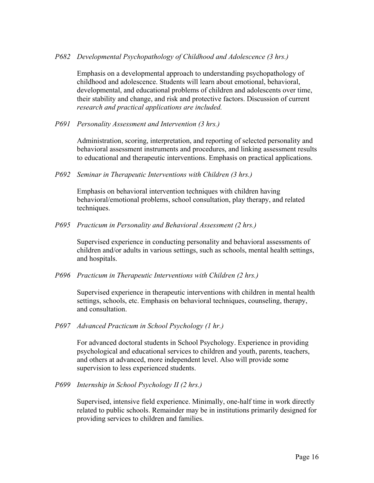#### *P682 Developmental Psychopathology of Childhood and Adolescence (3 hrs.)*

Emphasis on a developmental approach to understanding psychopathology of childhood and adolescence. Students will learn about emotional, behavioral, developmental, and educational problems of children and adolescents over time, their stability and change, and risk and protective factors. Discussion of current *research and practical applications are included.* 

*P691 Personality Assessment and Intervention (3 hrs.)* 

Administration, scoring, interpretation, and reporting of selected personality and behavioral assessment instruments and procedures, and linking assessment results to educational and therapeutic interventions. Emphasis on practical applications.

*P692 Seminar in Therapeutic Interventions with Children (3 hrs.)* 

Emphasis on behavioral intervention techniques with children having behavioral/emotional problems, school consultation, play therapy, and related techniques.

*P695 Practicum in Personality and Behavioral Assessment (2 hrs.)*

 Supervised experience in conducting personality and behavioral assessments of children and/or adults in various settings, such as schools, mental health settings, and hospitals.

*P696 Practicum in Therapeutic Interventions with Children (2 hrs.)*

 Supervised experience in therapeutic interventions with children in mental health settings, schools, etc. Emphasis on behavioral techniques, counseling, therapy, and consultation.

*P697 Advanced Practicum in School Psychology (1 hr.)*

 For advanced doctoral students in School Psychology. Experience in providing psychological and educational services to children and youth, parents, teachers, and others at advanced, more independent level. Also will provide some supervision to less experienced students.

*P699 Internship in School Psychology II (2 hrs.)*

Supervised, intensive field experience. Minimally, one-half time in work directly related to public schools. Remainder may be in institutions primarily designed for providing services to children and families.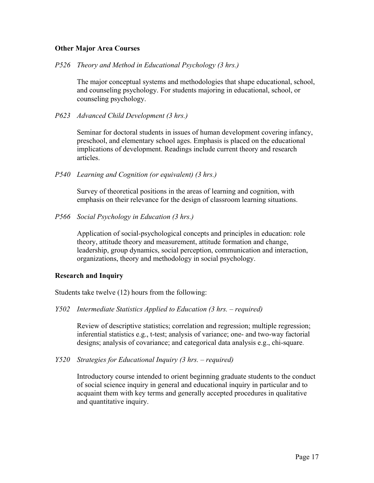#### **Other Major Area Courses**

*P526 Theory and Method in Educational Psychology (3 hrs.)* 

The major conceptual systems and methodologies that shape educational, school, and counseling psychology. For students majoring in educational, school, or counseling psychology.

*P623 Advanced Child Development (3 hrs.)* 

 Seminar for doctoral students in issues of human development covering infancy, preschool, and elementary school ages. Emphasis is placed on the educational implications of development. Readings include current theory and research articles.

*P540 Learning and Cognition (or equivalent) (3 hrs.)* 

 Survey of theoretical positions in the areas of learning and cognition, with emphasis on their relevance for the design of classroom learning situations.

*P566 Social Psychology in Education (3 hrs.)* 

Application of social-psychological concepts and principles in education: role theory, attitude theory and measurement, attitude formation and change, leadership, group dynamics, social perception, communication and interaction, organizations, theory and methodology in social psychology.

#### **Research and Inquiry**

Students take twelve (12) hours from the following:

*Y502 Intermediate Statistics Applied to Education (3 hrs. – required)* 

Review of descriptive statistics; correlation and regression; multiple regression; inferential statistics e.g., t-test; analysis of variance; one- and two-way factorial designs; analysis of covariance; and categorical data analysis e.g., chi-square.

*Y520 Strategies for Educational Inquiry (3 hrs. – required)* 

 Introductory course intended to orient beginning graduate students to the conduct of social science inquiry in general and educational inquiry in particular and to acquaint them with key terms and generally accepted procedures in qualitative and quantitative inquiry.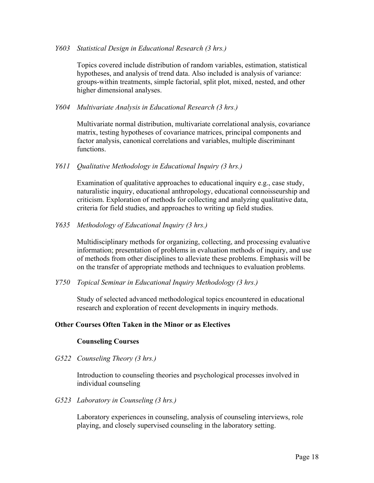#### *Y603 Statistical Design in Educational Research (3 hrs.)*

 Topics covered include distribution of random variables, estimation, statistical hypotheses, and analysis of trend data. Also included is analysis of variance: groups-within treatments, simple factorial, split plot, mixed, nested, and other higher dimensional analyses.

#### *Y604 Multivariate Analysis in Educational Research (3 hrs.)*

 Multivariate normal distribution, multivariate correlational analysis, covariance matrix, testing hypotheses of covariance matrices, principal components and factor analysis, canonical correlations and variables, multiple discriminant functions.

#### *Y611 Qualitative Methodology in Educational Inquiry (3 hrs.)*

 Examination of qualitative approaches to educational inquiry e.g., case study, naturalistic inquiry, educational anthropology, educational connoisseurship and criticism. Exploration of methods for collecting and analyzing qualitative data, criteria for field studies, and approaches to writing up field studies.

#### *Y635 Methodology of Educational Inquiry (3 hrs.)*

Multidisciplinary methods for organizing, collecting, and processing evaluative information; presentation of problems in evaluation methods of inquiry, and use of methods from other disciplines to alleviate these problems. Emphasis will be on the transfer of appropriate methods and techniques to evaluation problems.

*Y750 Topical Seminar in Educational Inquiry Methodology (3 hrs.)* 

 Study of selected advanced methodological topics encountered in educational research and exploration of recent developments in inquiry methods.

#### **Other Courses Often Taken in the Minor or as Electives**

#### **Counseling Courses**

*G522 Counseling Theory (3 hrs.)* 

 Introduction to counseling theories and psychological processes involved in individual counseling

*G523 Laboratory in Counseling (3 hrs.)* 

Laboratory experiences in counseling, analysis of counseling interviews, role playing, and closely supervised counseling in the laboratory setting.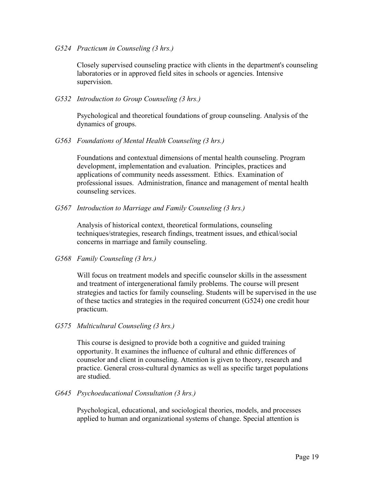*G524 Practicum in Counseling (3 hrs.)* 

 Closely supervised counseling practice with clients in the department's counseling laboratories or in approved field sites in schools or agencies. Intensive supervision.

*G532 Introduction to Group Counseling (3 hrs.)* 

 Psychological and theoretical foundations of group counseling. Analysis of the dynamics of groups.

*G563 Foundations of Mental Health Counseling (3 hrs.)* 

 Foundations and contextual dimensions of mental health counseling. Program development, implementation and evaluation. Principles, practices and applications of community needs assessment. Ethics. Examination of professional issues. Administration, finance and management of mental health counseling services.

*G567 Introduction to Marriage and Family Counseling (3 hrs.)* 

 Analysis of historical context, theoretical formulations, counseling techniques/strategies, research findings, treatment issues, and ethical/social concerns in marriage and family counseling.

*G568 Family Counseling (3 hrs.)* 

 Will focus on treatment models and specific counselor skills in the assessment and treatment of intergenerational family problems. The course will present strategies and tactics for family counseling. Students will be supervised in the use of these tactics and strategies in the required concurrent (G524) one credit hour practicum.

*G575 Multicultural Counseling (3 hrs.)* 

 This course is designed to provide both a cognitive and guided training opportunity. It examines the influence of cultural and ethnic differences of counselor and client in counseling. Attention is given to theory, research and practice. General cross-cultural dynamics as well as specific target populations are studied.

*G645 Psychoeducational Consultation (3 hrs.)* 

 Psychological, educational, and sociological theories, models, and processes applied to human and organizational systems of change. Special attention is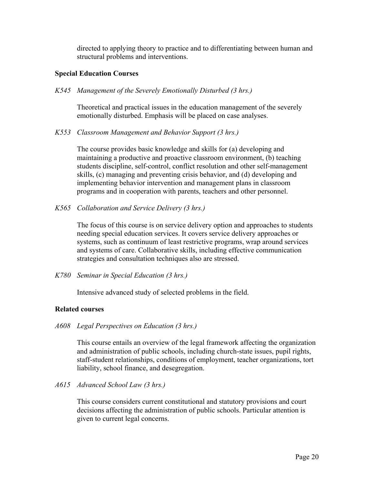directed to applying theory to practice and to differentiating between human and structural problems and interventions.

#### **Special Education Courses**

*K545 Management of the Severely Emotionally Disturbed (3 hrs.)* 

 Theoretical and practical issues in the education management of the severely emotionally disturbed. Emphasis will be placed on case analyses.

*K553 Classroom Management and Behavior Support (3 hrs.)* 

The course provides basic knowledge and skills for (a) developing and maintaining a productive and proactive classroom environment, (b) teaching students discipline, self-control, conflict resolution and other self-management skills, (c) managing and preventing crisis behavior, and (d) developing and implementing behavior intervention and management plans in classroom programs and in cooperation with parents, teachers and other personnel.

*K565 Collaboration and Service Delivery (3 hrs.)* 

 The focus of this course is on service delivery option and approaches to students needing special education services. It covers service delivery approaches or systems, such as continuum of least restrictive programs, wrap around services and systems of care. Collaborative skills, including effective communication strategies and consultation techniques also are stressed.

*K780 Seminar in Special Education (3 hrs.)* 

Intensive advanced study of selected problems in the field.

# **Related courses**

*A608 Legal Perspectives on Education (3 hrs.)* 

 This course entails an overview of the legal framework affecting the organization and administration of public schools, including church-state issues, pupil rights, staff-student relationships, conditions of employment, teacher organizations, tort liability, school finance, and desegregation.

*A615 Advanced School Law (3 hrs.)* 

 This course considers current constitutional and statutory provisions and court decisions affecting the administration of public schools. Particular attention is given to current legal concerns.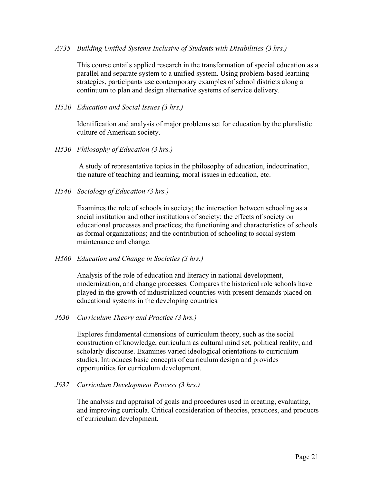#### *A735 Building Unified Systems Inclusive of Students with Disabilities (3 hrs.)*

 This course entails applied research in the transformation of special education as a parallel and separate system to a unified system. Using problem-based learning strategies, participants use contemporary examples of school districts along a continuum to plan and design alternative systems of service delivery.

#### *H520 Education and Social Issues (3 hrs.)*

Identification and analysis of major problems set for education by the pluralistic culture of American society.

*H530 Philosophy of Education (3 hrs.)* 

A study of representative topics in the philosophy of education, indoctrination, the nature of teaching and learning, moral issues in education, etc.

*H540 Sociology of Education (3 hrs.)* 

 Examines the role of schools in society; the interaction between schooling as a social institution and other institutions of society; the effects of society on educational processes and practices; the functioning and characteristics of schools as formal organizations; and the contribution of schooling to social system maintenance and change.

*H560 Education and Change in Societies (3 hrs.)* 

 Analysis of the role of education and literacy in national development, modernization, and change processes. Compares the historical role schools have played in the growth of industrialized countries with present demands placed on educational systems in the developing countries.

*J630 Curriculum Theory and Practice (3 hrs.)*

 Explores fundamental dimensions of curriculum theory, such as the social construction of knowledge, curriculum as cultural mind set, political reality, and scholarly discourse. Examines varied ideological orientations to curriculum studies. Introduces basic concepts of curriculum design and provides opportunities for curriculum development.

*J637 Curriculum Development Process (3 hrs.)* 

 The analysis and appraisal of goals and procedures used in creating, evaluating, and improving curricula. Critical consideration of theories, practices, and products of curriculum development.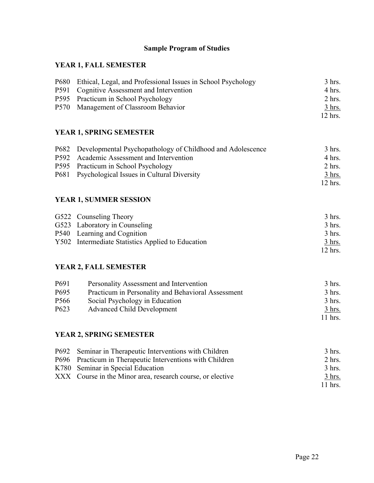# **Sample Program of Studies**

# **YEAR 1, FALL SEMESTER**

| P680 Ethical, Legal, and Professional Issues in School Psychology | $3$ hrs.         |
|-------------------------------------------------------------------|------------------|
| P591 Cognitive Assessment and Intervention                        | $4 \text{ hrs.}$ |
| P595 Practicum in School Psychology                               | $2$ hrs.         |
| P570 Management of Classroom Behavior                             | <u>3 hrs.</u>    |
|                                                                   | $12$ hrs.        |

# **YEAR 1, SPRING SEMESTER**

| P682 Developmental Psychopathology of Childhood and Adolescence | 3 hrs.        |
|-----------------------------------------------------------------|---------------|
| P592 Academic Assessment and Intervention                       | 4 hrs.        |
| P595 Practicum in School Psychology                             | $2$ hrs.      |
| P681 Psychological Issues in Cultural Diversity                 | <u>3 hrs.</u> |
|                                                                 | $12$ hrs.     |

# **YEAR 1, SUMMER SESSION**

| G522 Counseling Theory                            | $3$ hrs.         |
|---------------------------------------------------|------------------|
| G523 Laboratory in Counseling                     | $3$ hrs.         |
| P540 Learning and Cognition                       | $3$ hrs.         |
| Y502 Intermediate Statistics Applied to Education | $3 \text{ hrs.}$ |
|                                                   | $12$ hrs.        |

# **YEAR 2, FALL SEMESTER**

| P <sub>691</sub> | Personality Assessment and Intervention            | $3$ hrs.      |
|------------------|----------------------------------------------------|---------------|
| P <sub>695</sub> | Practicum in Personality and Behavioral Assessment | $3$ hrs.      |
| P <sub>566</sub> | Social Psychology in Education                     | $3$ hrs.      |
| P <sub>623</sub> | <b>Advanced Child Development</b>                  | <u>3 hrs.</u> |
|                  |                                                    | $11$ hrs.     |

# **YEAR 2, SPRING SEMESTER**

| P692 Seminar in Therapeutic Interventions with Children    | 3 hrs.    |
|------------------------------------------------------------|-----------|
| P696 Practicum in Therapeutic Interventions with Children  | $2$ hrs.  |
| K780 Seminar in Special Education                          | $-3$ hrs. |
| XXX Course in the Minor area, research course, or elective | $3$ hrs.  |
|                                                            | $11$ hrs. |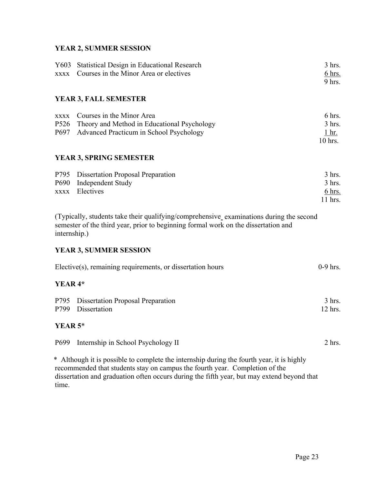# **YEAR 2, SUMMER SESSION**

| <b>XXXX</b>                                                                                                                                                                                   | Y603 Statistical Design in Educational Research<br>Courses in the Minor Area or electives                                                                              | 3 hrs.<br>6 hrs.<br>9 hrs.                      |  |
|-----------------------------------------------------------------------------------------------------------------------------------------------------------------------------------------------|------------------------------------------------------------------------------------------------------------------------------------------------------------------------|-------------------------------------------------|--|
|                                                                                                                                                                                               | <b>YEAR 3, FALL SEMESTER</b>                                                                                                                                           |                                                 |  |
| XXXX<br>P <sub>526</sub><br>P697                                                                                                                                                              | Courses in the Minor Area<br>Theory and Method in Educational Psychology<br>Advanced Practicum in School Psychology                                                    | 6 hrs.<br>3 hrs.<br>1 <sub>hr.</sub><br>10 hrs. |  |
|                                                                                                                                                                                               | YEAR 3, SPRING SEMESTER                                                                                                                                                |                                                 |  |
| P690<br><b>XXXX</b>                                                                                                                                                                           | P795 Dissertation Proposal Preparation<br><b>Independent Study</b><br>Electives                                                                                        | $3$ hrs.<br>$3$ hrs.<br>$6$ hrs.<br>11 hrs.     |  |
| (Typically, students take their qualifying/comprehensive examinations during the second<br>semester of the third year, prior to beginning formal work on the dissertation and<br>internship.) |                                                                                                                                                                        |                                                 |  |
|                                                                                                                                                                                               | <b>YEAR 3, SUMMER SESSION</b>                                                                                                                                          |                                                 |  |
|                                                                                                                                                                                               | Elective(s), remaining requirements, or dissertation hours                                                                                                             | $0-9$ hrs.                                      |  |
| YEAR <sup>4*</sup>                                                                                                                                                                            |                                                                                                                                                                        |                                                 |  |
| P795<br>P799                                                                                                                                                                                  | <b>Dissertation Proposal Preparation</b><br>Dissertation                                                                                                               | $3$ hrs.<br>12 hrs.                             |  |
| YEAR 5*                                                                                                                                                                                       |                                                                                                                                                                        |                                                 |  |
| P <sub>699</sub>                                                                                                                                                                              | Internship in School Psychology II                                                                                                                                     | 2 hrs.                                          |  |
| $\ast$                                                                                                                                                                                        | Although it is possible to complete the internship during the fourth year, it is highly<br>recommended that students stay on campus the fourth year. Completion of the |                                                 |  |

recommended that students stay on campus the fourth year. Completion of the dissertation and graduation often occurs during the fifth year, but may extend beyond that time.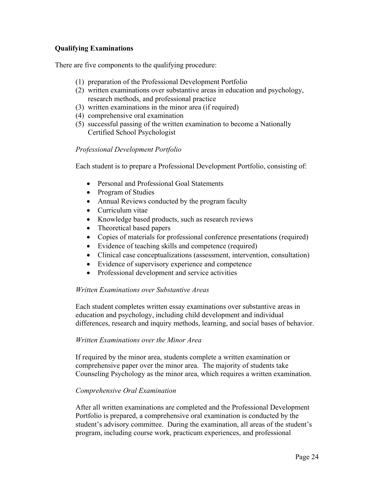# **Qualifying Examinations**

There are five components to the qualifying procedure:

- (1) preparation of the Professional Development Portfolio
- (2) written examinations over substantive areas in education and psychology, research methods, and professional practice
- (3) written examinations in the minor area (if required)
- (4) comprehensive oral examination
- (5) successful passing of the written examination to become a Nationally Certified School Psychologist

## *Professional Development Portfolio*

Each student is to prepare a Professional Development Portfolio, consisting of:

- Personal and Professional Goal Statements
- Program of Studies
- Annual Reviews conducted by the program faculty
- Curriculum vitae
- Knowledge based products, such as research reviews
- Theoretical based papers
- Copies of materials for professional conference presentations (required)
- Evidence of teaching skills and competence (required)
- Clinical case conceptualizations (assessment, intervention, consultation)
- Evidence of supervisory experience and competence
- Professional development and service activities

#### *Written Examinations over Substantive Areas*

Each student completes written essay examinations over substantive areas in education and psychology, including child development and individual differences, research and inquiry methods, learning, and social bases of behavior.

#### *Written Examinations over the Minor Area*

If required by the minor area, students complete a written examination or comprehensive paper over the minor area. The majority of students take Counseling Psychology as the minor area, which requires a written examination.

#### *Comprehensive Oral Examination*

After all written examinations are completed and the Professional Development Portfolio is prepared, a comprehensive oral examination is conducted by the student's advisory committee. During the examination, all areas of the student's program, including course work, practicum experiences, and professional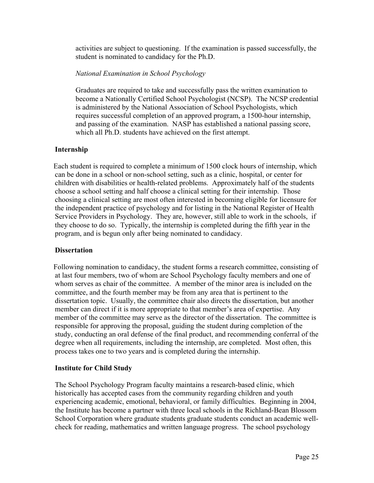activities are subject to questioning. If the examination is passed successfully, the student is nominated to candidacy for the Ph.D.

## *National Examination in School Psychology*

Graduates are required to take and successfully pass the written examination to become a Nationally Certified School Psychologist (NCSP). The NCSP credential is administered by the National Association of School Psychologists, which requires successful completion of an approved program, a 1500-hour internship, and passing of the examination. NASP has established a national passing score, which all Ph.D. students have achieved on the first attempt.

## **Internship**

 Each student is required to complete a minimum of 1500 clock hours of internship, which can be done in a school or non-school setting, such as a clinic, hospital, or center for children with disabilities or health-related problems. Approximately half of the students choose a school setting and half choose a clinical setting for their internship. Those choosing a clinical setting are most often interested in becoming eligible for licensure for the independent practice of psychology and for listing in the National Register of Health Service Providers in Psychology. They are, however, still able to work in the schools, if they choose to do so. Typically, the internship is completed during the fifth year in the program, and is begun only after being nominated to candidacy.

#### **Dissertation**

 Following nomination to candidacy, the student forms a research committee, consisting of at last four members, two of whom are School Psychology faculty members and one of whom serves as chair of the committee. A member of the minor area is included on the committee, and the fourth member may be from any area that is pertinent to the dissertation topic. Usually, the committee chair also directs the dissertation, but another member can direct if it is more appropriate to that member's area of expertise. Any member of the committee may serve as the director of the dissertation. The committee is responsible for approving the proposal, guiding the student during completion of the study, conducting an oral defense of the final product, and recommending conferral of the degree when all requirements, including the internship, are completed. Most often, this process takes one to two years and is completed during the internship.

#### **Institute for Child Study**

The School Psychology Program faculty maintains a research-based clinic, which historically has accepted cases from the community regarding children and youth experiencing academic, emotional, behavioral, or family difficulties. Beginning in 2004, the Institute has become a partner with three local schools in the Richland-Bean Blossom School Corporation where graduate students graduate students conduct an academic wellcheck for reading, mathematics and written language progress. The school psychology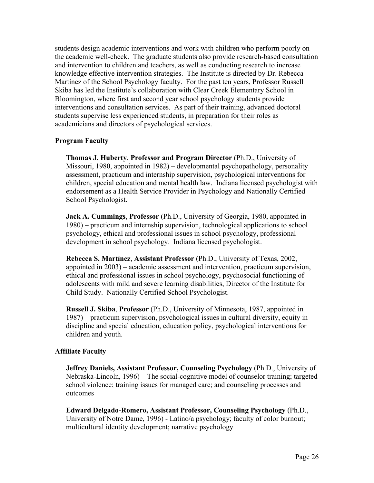students design academic interventions and work with children who perform poorly on the academic well-check. The graduate students also provide research-based consultation and intervention to children and teachers, as well as conducting research to increase knowledge effective intervention strategies. The Institute is directed by Dr. Rebecca Martínez of the School Psychology faculty. For the past ten years, Professor Russell Skiba has led the Institute's collaboration with Clear Creek Elementary School in Bloomington, where first and second year school psychology students provide interventions and consultation services. As part of their training, advanced doctoral students supervise less experienced students, in preparation for their roles as academicians and directors of psychological services.

## **Program Faculty**

**Thomas J. Huberty**, **Professor and Program Director** (Ph.D., University of Missouri, 1980, appointed in 1982) – developmental psychopathology, personality assessment, practicum and internship supervision, psychological interventions for children, special education and mental health law. Indiana licensed psychologist with endorsement as a Health Service Provider in Psychology and Nationally Certified School Psychologist.

**Jack A. Cummings**, **Professor** (Ph.D., University of Georgia, 1980, appointed in 1980) – practicum and internship supervision, technological applications to school psychology, ethical and professional issues in school psychology, professional development in school psychology. Indiana licensed psychologist.

**Rebecca S. Martínez**, **Assistant Professor** (Ph.D., University of Texas, 2002, appointed in 2003) – academic assessment and intervention, practicum supervision, ethical and professional issues in school psychology, psychosocial functioning of adolescents with mild and severe learning disabilities, Director of the Institute for Child Study. Nationally Certified School Psychologist.

**Russell J. Skiba**, **Professor** (Ph.D., University of Minnesota, 1987, appointed in 1987) – practicum supervision, psychological issues in cultural diversity, equity in discipline and special education, education policy, psychological interventions for children and youth.

#### **Affiliate Faculty**

**Jeffrey Daniels, Assistant Professor, Counseling Psychology** (Ph.D., University of Nebraska-Lincoln, 1996) – The social-cognitive model of counselor training; targeted school violence; training issues for managed care; and counseling processes and outcomes

**Edward Delgado-Romero, Assistant Professor, Counseling Psychology** (Ph.D., University of Notre Dame, 1996) - Latino/a psychology; faculty of color burnout; multicultural identity development; narrative psychology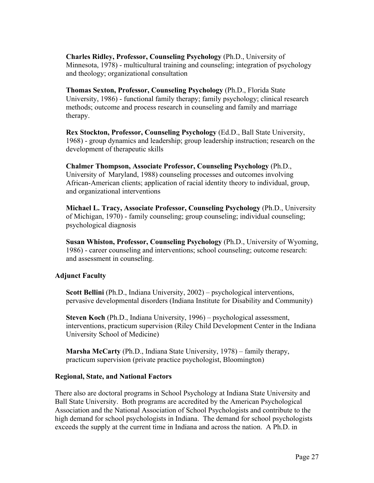**Charles Ridley, Professor, Counseling Psychology** (Ph.D., University of Minnesota, 1978) - multicultural training and counseling; integration of psychology and theology; organizational consultation

**Thomas Sexton, Professor, Counseling Psychology** (Ph.D., Florida State University, 1986) - functional family therapy; family psychology; clinical research methods; outcome and process research in counseling and family and marriage therapy.

**Rex Stockton, Professor, Counseling Psychology** (Ed.D., Ball State University, 1968) - group dynamics and leadership; group leadership instruction; research on the development of therapeutic skills

**Chalmer Thompson, Associate Professor, Counseling Psychology** (Ph.D., University of Maryland, 1988) counseling processes and outcomes involving African-American clients; application of racial identity theory to individual, group, and organizational interventions

**Michael L. Tracy, Associate Professor, Counseling Psychology** (Ph.D., University of Michigan, 1970) - family counseling; group counseling; individual counseling; psychological diagnosis

**Susan Whiston, Professor, Counseling Psychology** (Ph.D., University of Wyoming, 1986) - career counseling and interventions; school counseling; outcome research: and assessment in counseling.

# **Adjunct Faculty**

**Scott Bellini** (Ph.D., Indiana University, 2002) – psychological interventions, pervasive developmental disorders (Indiana Institute for Disability and Community)

**Steven Koch** (Ph.D., Indiana University, 1996) – psychological assessment, interventions, practicum supervision (Riley Child Development Center in the Indiana University School of Medicine)

**Marsha McCarty** (Ph.D., Indiana State University, 1978) – family therapy, practicum supervision (private practice psychologist, Bloomington)

#### **Regional, State, and National Factors**

There also are doctoral programs in School Psychology at Indiana State University and Ball State University. Both programs are accredited by the American Psychological Association and the National Association of School Psychologists and contribute to the high demand for school psychologists in Indiana. The demand for school psychologists exceeds the supply at the current time in Indiana and across the nation. A Ph.D. in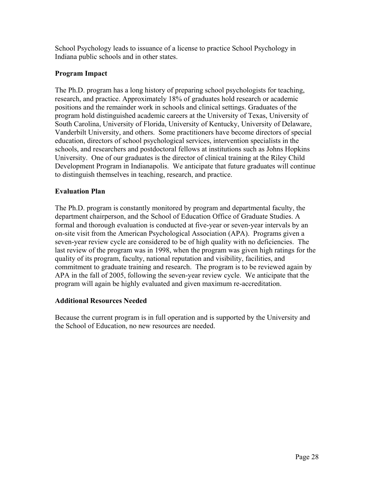School Psychology leads to issuance of a license to practice School Psychology in Indiana public schools and in other states.

# **Program Impact**

The Ph.D. program has a long history of preparing school psychologists for teaching, research, and practice. Approximately 18% of graduates hold research or academic positions and the remainder work in schools and clinical settings. Graduates of the program hold distinguished academic careers at the University of Texas, University of South Carolina, University of Florida, University of Kentucky, University of Delaware, Vanderbilt University, and others. Some practitioners have become directors of special education, directors of school psychological services, intervention specialists in the schools, and researchers and postdoctoral fellows at institutions such as Johns Hopkins University. One of our graduates is the director of clinical training at the Riley Child Development Program in Indianapolis. We anticipate that future graduates will continue to distinguish themselves in teaching, research, and practice.

# **Evaluation Plan**

The Ph.D. program is constantly monitored by program and departmental faculty, the department chairperson, and the School of Education Office of Graduate Studies. A formal and thorough evaluation is conducted at five-year or seven-year intervals by an on-site visit from the American Psychological Association (APA). Programs given a seven-year review cycle are considered to be of high quality with no deficiencies. The last review of the program was in 1998, when the program was given high ratings for the quality of its program, faculty, national reputation and visibility, facilities, and commitment to graduate training and research. The program is to be reviewed again by APA in the fall of 2005, following the seven-year review cycle. We anticipate that the program will again be highly evaluated and given maximum re-accreditation.

# **Additional Resources Needed**

Because the current program is in full operation and is supported by the University and the School of Education, no new resources are needed.